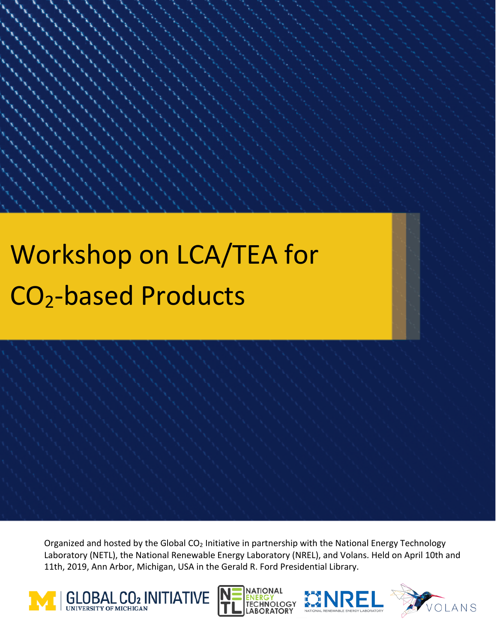# Workshop on LCA/TEA for CO2-based Products

Organized and hosted by the Global CO<sub>2</sub> Initiative in partnership with the National Energy Technology Laboratory (NETL), the National Renewable Energy Laboratory (NREL), and Volans. Held on April 10th and 11th, 2019, Ann Arbor, Michigan, USA in the Gerald R. Ford Presidential Library.







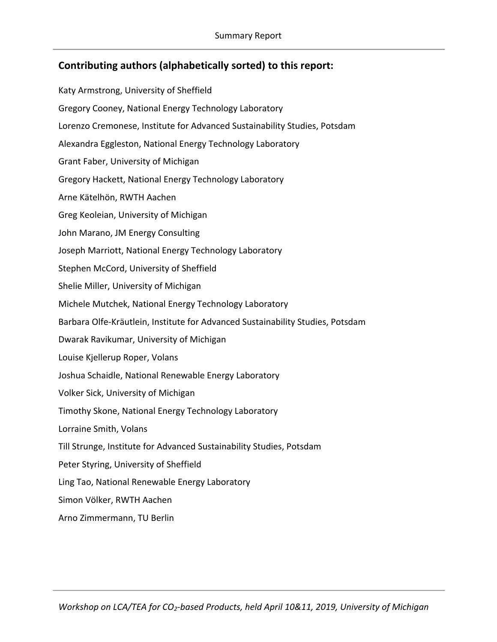## **Contributing authors (alphabetically sorted) to this report:**

Katy Armstrong, University of Sheffield Gregory Cooney, National Energy Technology Laboratory Lorenzo Cremonese, Institute for Advanced Sustainability Studies, Potsdam Alexandra Eggleston, National Energy Technology Laboratory Grant Faber, University of Michigan Gregory Hackett, National Energy Technology Laboratory Arne Kätelhön, RWTH Aachen Greg Keoleian, University of Michigan John Marano, JM Energy Consulting Joseph Marriott, National Energy Technology Laboratory Stephen McCord, University of Sheffield Shelie Miller, University of Michigan Michele Mutchek, National Energy Technology Laboratory Barbara Olfe-Kräutlein, Institute for Advanced Sustainability Studies, Potsdam Dwarak Ravikumar, University of Michigan Louise Kjellerup Roper, Volans Joshua Schaidle, National Renewable Energy Laboratory Volker Sick, University of Michigan Timothy Skone, National Energy Technology Laboratory Lorraine Smith, Volans Till Strunge, Institute for Advanced Sustainability Studies, Potsdam Peter Styring, University of Sheffield Ling Tao, National Renewable Energy Laboratory Simon Völker, RWTH Aachen Arno Zimmermann, TU Berlin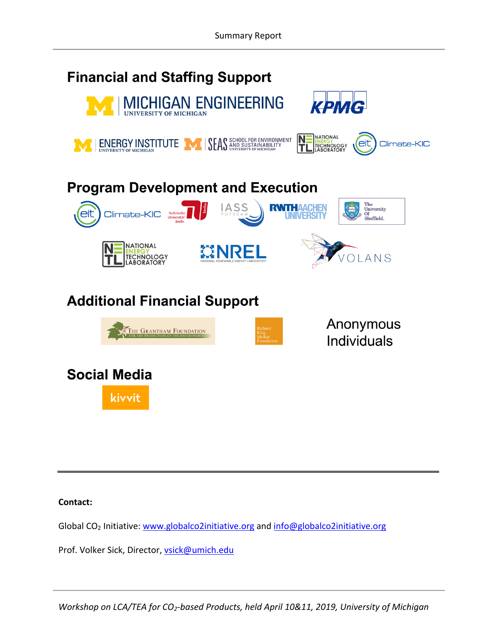

#### **Contact:**

Global CO2 Initiative: www.globalco2initiative.org and info@globalco2initiative.org

Prof. Volker Sick, Director, vsick@umich.edu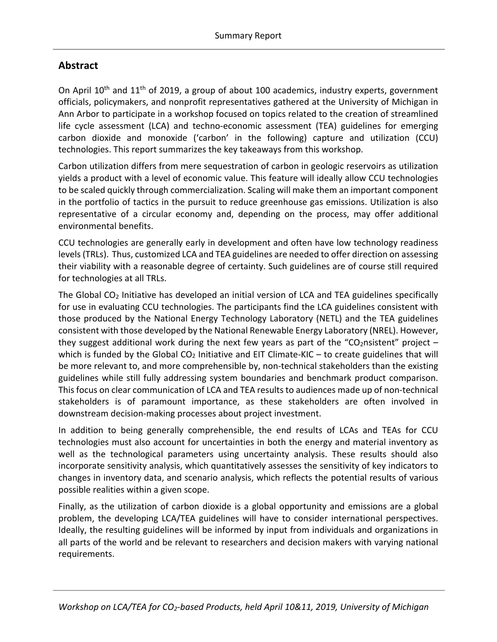## **Abstract**

On April  $10<sup>th</sup>$  and  $11<sup>th</sup>$  of 2019, a group of about 100 academics, industry experts, government officials, policymakers, and nonprofit representatives gathered at the University of Michigan in Ann Arbor to participate in a workshop focused on topics related to the creation of streamlined life cycle assessment (LCA) and techno-economic assessment (TEA) guidelines for emerging carbon dioxide and monoxide ('carbon' in the following) capture and utilization (CCU) technologies. This report summarizes the key takeaways from this workshop.

Carbon utilization differs from mere sequestration of carbon in geologic reservoirs as utilization yields a product with a level of economic value. This feature will ideally allow CCU technologies to be scaled quickly through commercialization. Scaling will make them an important component in the portfolio of tactics in the pursuit to reduce greenhouse gas emissions. Utilization is also representative of a circular economy and, depending on the process, may offer additional environmental benefits.

CCU technologies are generally early in development and often have low technology readiness levels (TRLs). Thus, customized LCA and TEA guidelines are needed to offer direction on assessing their viability with a reasonable degree of certainty. Such guidelines are of course still required for technologies at all TRLs.

The Global CO2 Initiative has developed an initial version of LCA and TEA guidelines specifically for use in evaluating CCU technologies. The participants find the LCA guidelines consistent with those produced by the National Energy Technology Laboratory (NETL) and the TEA guidelines consistent with those developed by the National Renewable Energy Laboratory (NREL). However, they suggest additional work during the next few years as part of the "CO<sub>2</sub>nsistent" project – which is funded by the Global  $CO<sub>2</sub>$  Initiative and EIT Climate-KIC – to create guidelines that will be more relevant to, and more comprehensible by, non-technical stakeholders than the existing guidelines while still fully addressing system boundaries and benchmark product comparison. This focus on clear communication of LCA and TEA results to audiences made up of non-technical stakeholders is of paramount importance, as these stakeholders are often involved in downstream decision-making processes about project investment.

In addition to being generally comprehensible, the end results of LCAs and TEAs for CCU technologies must also account for uncertainties in both the energy and material inventory as well as the technological parameters using uncertainty analysis. These results should also incorporate sensitivity analysis, which quantitatively assesses the sensitivity of key indicators to changes in inventory data, and scenario analysis, which reflects the potential results of various possible realities within a given scope.

Finally, as the utilization of carbon dioxide is a global opportunity and emissions are a global problem, the developing LCA/TEA guidelines will have to consider international perspectives. Ideally, the resulting guidelines will be informed by input from individuals and organizations in all parts of the world and be relevant to researchers and decision makers with varying national requirements.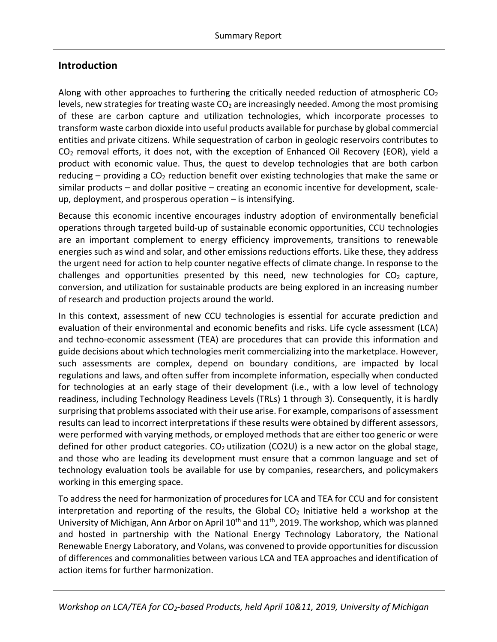## **Introduction**

Along with other approaches to furthering the critically needed reduction of atmospheric  $CO<sub>2</sub>$ levels, new strategies for treating waste  $CO<sub>2</sub>$  are increasingly needed. Among the most promising of these are carbon capture and utilization technologies, which incorporate processes to transform waste carbon dioxide into useful products available for purchase by global commercial entities and private citizens. While sequestration of carbon in geologic reservoirs contributes to  $CO<sub>2</sub>$  removal efforts, it does not, with the exception of Enhanced Oil Recovery (EOR), yield a product with economic value. Thus, the quest to develop technologies that are both carbon reducing – providing a  $CO<sub>2</sub>$  reduction benefit over existing technologies that make the same or similar products – and dollar positive – creating an economic incentive for development, scaleup, deployment, and prosperous operation – is intensifying.

Because this economic incentive encourages industry adoption of environmentally beneficial operations through targeted build-up of sustainable economic opportunities, CCU technologies are an important complement to energy efficiency improvements, transitions to renewable energies such as wind and solar, and other emissions reductions efforts. Like these, they address the urgent need for action to help counter negative effects of climate change. In response to the challenges and opportunities presented by this need, new technologies for  $CO<sub>2</sub>$  capture, conversion, and utilization for sustainable products are being explored in an increasing number of research and production projects around the world.

In this context, assessment of new CCU technologies is essential for accurate prediction and evaluation of their environmental and economic benefits and risks. Life cycle assessment (LCA) and techno-economic assessment (TEA) are procedures that can provide this information and guide decisions about which technologies merit commercializing into the marketplace. However, such assessments are complex, depend on boundary conditions, are impacted by local regulations and laws, and often suffer from incomplete information, especially when conducted for technologies at an early stage of their development (i.e., with a low level of technology readiness, including Technology Readiness Levels (TRLs) 1 through 3). Consequently, it is hardly surprising that problems associated with their use arise. For example, comparisons of assessment results can lead to incorrect interpretations if these results were obtained by different assessors, were performed with varying methods, or employed methods that are either too generic or were defined for other product categories.  $CO<sub>2</sub>$  utilization (CO2U) is a new actor on the global stage, and those who are leading its development must ensure that a common language and set of technology evaluation tools be available for use by companies, researchers, and policymakers working in this emerging space.

To address the need for harmonization of procedures for LCA and TEA for CCU and for consistent interpretation and reporting of the results, the Global  $CO<sub>2</sub>$  Initiative held a workshop at the University of Michigan, Ann Arbor on April 10<sup>th</sup> and 11<sup>th</sup>, 2019. The workshop, which was planned and hosted in partnership with the National Energy Technology Laboratory, the National Renewable Energy Laboratory, and Volans, was convened to provide opportunities for discussion of differences and commonalities between various LCA and TEA approaches and identification of action items for further harmonization.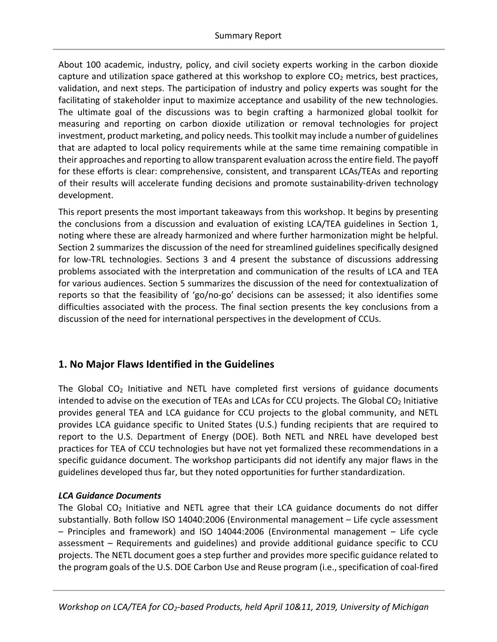About 100 academic, industry, policy, and civil society experts working in the carbon dioxide capture and utilization space gathered at this workshop to explore  $CO<sub>2</sub>$  metrics, best practices, validation, and next steps. The participation of industry and policy experts was sought for the facilitating of stakeholder input to maximize acceptance and usability of the new technologies. The ultimate goal of the discussions was to begin crafting a harmonized global toolkit for measuring and reporting on carbon dioxide utilization or removal technologies for project investment, product marketing, and policy needs. This toolkit may include a number of guidelines that are adapted to local policy requirements while at the same time remaining compatible in their approaches and reporting to allow transparent evaluation across the entire field. The payoff for these efforts is clear: comprehensive, consistent, and transparent LCAs/TEAs and reporting of their results will accelerate funding decisions and promote sustainability-driven technology development.

This report presents the most important takeaways from this workshop. It begins by presenting the conclusions from a discussion and evaluation of existing LCA/TEA guidelines in Section 1, noting where these are already harmonized and where further harmonization might be helpful. Section 2 summarizes the discussion of the need for streamlined guidelines specifically designed for low-TRL technologies. Sections 3 and 4 present the substance of discussions addressing problems associated with the interpretation and communication of the results of LCA and TEA for various audiences. Section 5 summarizes the discussion of the need for contextualization of reports so that the feasibility of 'go/no-go' decisions can be assessed; it also identifies some difficulties associated with the process. The final section presents the key conclusions from a discussion of the need for international perspectives in the development of CCUs.

## **1. No Major Flaws Identified in the Guidelines**

The Global  $CO<sub>2</sub>$  Initiative and NETL have completed first versions of guidance documents intended to advise on the execution of TEAs and LCAs for CCU projects. The Global CO<sub>2</sub> Initiative provides general TEA and LCA guidance for CCU projects to the global community, and NETL provides LCA guidance specific to United States (U.S.) funding recipients that are required to report to the U.S. Department of Energy (DOE). Both NETL and NREL have developed best practices for TEA of CCU technologies but have not yet formalized these recommendations in a specific guidance document. The workshop participants did not identify any major flaws in the guidelines developed thus far, but they noted opportunities for further standardization.

#### *LCA Guidance Documents*

The Global  $CO<sub>2</sub>$  Initiative and NETL agree that their LCA guidance documents do not differ substantially. Both follow ISO 14040:2006 (Environmental management – Life cycle assessment – Principles and framework) and ISO 14044:2006 (Environmental management – Life cycle assessment – Requirements and guidelines) and provide additional guidance specific to CCU projects. The NETL document goes a step further and provides more specific guidance related to the program goals of the U.S. DOE Carbon Use and Reuse program (i.e., specification of coal-fired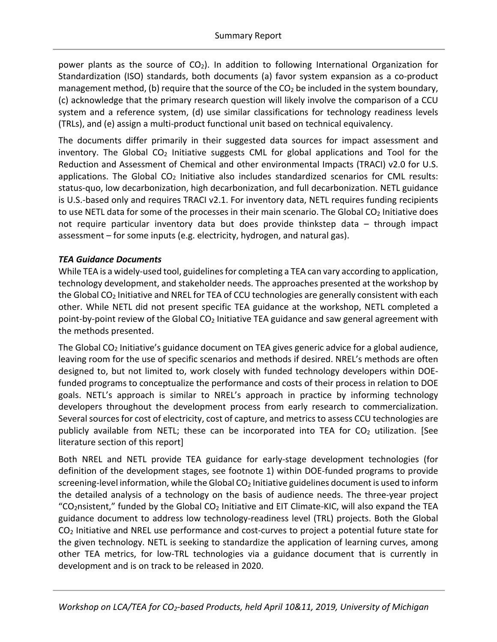power plants as the source of  $CO<sub>2</sub>$ ). In addition to following International Organization for Standardization (ISO) standards, both documents (a) favor system expansion as a co-product management method, (b) require that the source of the  $CO<sub>2</sub>$  be included in the system boundary, (c) acknowledge that the primary research question will likely involve the comparison of a CCU system and a reference system, (d) use similar classifications for technology readiness levels (TRLs), and (e) assign a multi-product functional unit based on technical equivalency.

The documents differ primarily in their suggested data sources for impact assessment and inventory. The Global  $CO<sub>2</sub>$  Initiative suggests CML for global applications and Tool for the Reduction and Assessment of Chemical and other environmental Impacts (TRACI) v2.0 for U.S. applications. The Global  $CO<sub>2</sub>$  Initiative also includes standardized scenarios for CML results: status-quo, low decarbonization, high decarbonization, and full decarbonization. NETL guidance is U.S.-based only and requires TRACI v2.1. For inventory data, NETL requires funding recipients to use NETL data for some of the processes in their main scenario. The Global  $CO<sub>2</sub>$  Initiative does not require particular inventory data but does provide thinkstep data – through impact assessment – for some inputs (e.g. electricity, hydrogen, and natural gas).

#### *TEA Guidance Documents*

While TEA is a widely-used tool, guidelines for completing a TEA can vary according to application, technology development, and stakeholder needs. The approaches presented at the workshop by the Global  $CO<sub>2</sub>$  Initiative and NREL for TEA of CCU technologies are generally consistent with each other. While NETL did not present specific TEA guidance at the workshop, NETL completed a point-by-point review of the Global  $CO<sub>2</sub>$  Initiative TEA guidance and saw general agreement with the methods presented.

The Global CO<sub>2</sub> Initiative's guidance document on TEA gives generic advice for a global audience, leaving room for the use of specific scenarios and methods if desired. NREL's methods are often designed to, but not limited to, work closely with funded technology developers within DOEfunded programs to conceptualize the performance and costs of their process in relation to DOE goals. NETL's approach is similar to NREL's approach in practice by informing technology developers throughout the development process from early research to commercialization. Several sources for cost of electricity, cost of capture, and metrics to assess CCU technologies are publicly available from NETL; these can be incorporated into TEA for  $CO<sub>2</sub>$  utilization. [See literature section of this report]

Both NREL and NETL provide TEA guidance for early-stage development technologies (for definition of the development stages, see footnote 1) within DOE-funded programs to provide screening-level information, while the Global CO<sub>2</sub> Initiative guidelines document is used to inform the detailed analysis of a technology on the basis of audience needs. The three-year project "CO<sub>2</sub>nsistent," funded by the Global CO<sub>2</sub> Initiative and EIT Climate-KIC, will also expand the TEA guidance document to address low technology-readiness level (TRL) projects. Both the Global CO2 Initiative and NREL use performance and cost-curves to project a potential future state for the given technology. NETL is seeking to standardize the application of learning curves, among other TEA metrics, for low-TRL technologies via a guidance document that is currently in development and is on track to be released in 2020.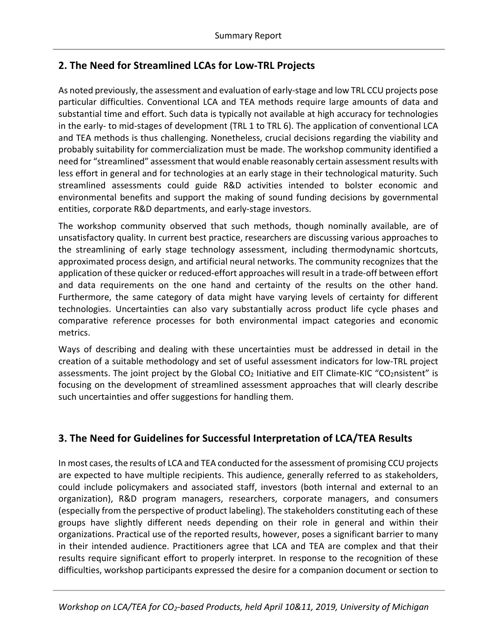# **2. The Need for Streamlined LCAs for Low-TRL Projects**

As noted previously, the assessment and evaluation of early-stage and low TRL CCU projects pose particular difficulties. Conventional LCA and TEA methods require large amounts of data and substantial time and effort. Such data is typically not available at high accuracy for technologies in the early- to mid-stages of development (TRL 1 to TRL 6). The application of conventional LCA and TEA methods is thus challenging. Nonetheless, crucial decisions regarding the viability and probably suitability for commercialization must be made. The workshop community identified a need for "streamlined" assessment that would enable reasonably certain assessment results with less effort in general and for technologies at an early stage in their technological maturity. Such streamlined assessments could guide R&D activities intended to bolster economic and environmental benefits and support the making of sound funding decisions by governmental entities, corporate R&D departments, and early-stage investors.

The workshop community observed that such methods, though nominally available, are of unsatisfactory quality. In current best practice, researchers are discussing various approaches to the streamlining of early stage technology assessment, including thermodynamic shortcuts, approximated process design, and artificial neural networks. The community recognizes that the application of these quicker or reduced-effort approaches will result in a trade-off between effort and data requirements on the one hand and certainty of the results on the other hand. Furthermore, the same category of data might have varying levels of certainty for different technologies. Uncertainties can also vary substantially across product life cycle phases and comparative reference processes for both environmental impact categories and economic metrics.

Ways of describing and dealing with these uncertainties must be addressed in detail in the creation of a suitable methodology and set of useful assessment indicators for low-TRL project assessments. The joint project by the Global  $CO<sub>2</sub>$  Initiative and EIT Climate-KIC "CO<sub>2</sub>nsistent" is focusing on the development of streamlined assessment approaches that will clearly describe such uncertainties and offer suggestions for handling them.

# **3. The Need for Guidelines for Successful Interpretation of LCA/TEA Results**

In most cases, the results of LCA and TEA conducted for the assessment of promising CCU projects are expected to have multiple recipients. This audience, generally referred to as stakeholders, could include policymakers and associated staff, investors (both internal and external to an organization), R&D program managers, researchers, corporate managers, and consumers (especially from the perspective of product labeling). The stakeholders constituting each of these groups have slightly different needs depending on their role in general and within their organizations. Practical use of the reported results, however, poses a significant barrier to many in their intended audience. Practitioners agree that LCA and TEA are complex and that their results require significant effort to properly interpret. In response to the recognition of these difficulties, workshop participants expressed the desire for a companion document or section to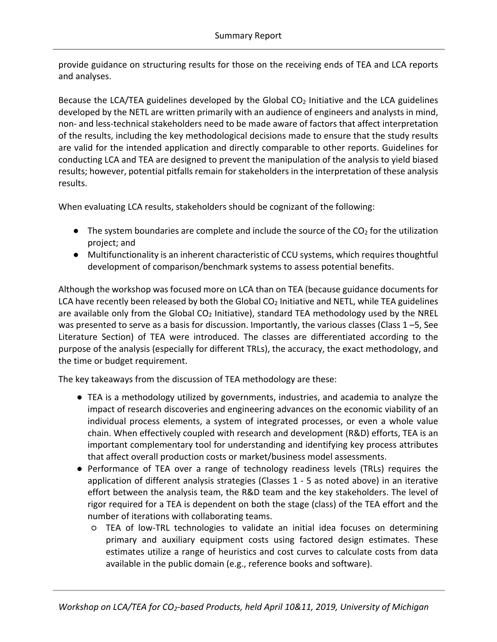provide guidance on structuring results for those on the receiving ends of TEA and LCA reports and analyses.

Because the LCA/TEA guidelines developed by the Global CO<sub>2</sub> Initiative and the LCA guidelines developed by the NETL are written primarily with an audience of engineers and analysts in mind, non- and less-technical stakeholders need to be made aware of factors that affect interpretation of the results, including the key methodological decisions made to ensure that the study results are valid for the intended application and directly comparable to other reports. Guidelines for conducting LCA and TEA are designed to prevent the manipulation of the analysis to yield biased results; however, potential pitfalls remain for stakeholders in the interpretation of these analysis results.

When evaluating LCA results, stakeholders should be cognizant of the following:

- $\bullet$  The system boundaries are complete and include the source of the CO<sub>2</sub> for the utilization project; and
- Multifunctionality is an inherent characteristic of CCU systems, which requires thoughtful development of comparison/benchmark systems to assess potential benefits.

Although the workshop was focused more on LCA than on TEA (because guidance documents for LCA have recently been released by both the Global  $CO<sub>2</sub>$  Initiative and NETL, while TEA guidelines are available only from the Global CO<sub>2</sub> Initiative), standard TEA methodology used by the NREL was presented to serve as a basis for discussion. Importantly, the various classes (Class 1-5, See Literature Section) of TEA were introduced. The classes are differentiated according to the purpose of the analysis (especially for different TRLs), the accuracy, the exact methodology, and the time or budget requirement.

The key takeaways from the discussion of TEA methodology are these:

- TEA is a methodology utilized by governments, industries, and academia to analyze the impact of research discoveries and engineering advances on the economic viability of an individual process elements, a system of integrated processes, or even a whole value chain. When effectively coupled with research and development (R&D) efforts, TEA is an important complementary tool for understanding and identifying key process attributes that affect overall production costs or market/business model assessments.
- Performance of TEA over a range of technology readiness levels (TRLs) requires the application of different analysis strategies (Classes 1 - 5 as noted above) in an iterative effort between the analysis team, the R&D team and the key stakeholders. The level of rigor required for a TEA is dependent on both the stage (class) of the TEA effort and the number of iterations with collaborating teams.
	- TEA of low-TRL technologies to validate an initial idea focuses on determining primary and auxiliary equipment costs using factored design estimates. These estimates utilize a range of heuristics and cost curves to calculate costs from data available in the public domain (e.g., reference books and software).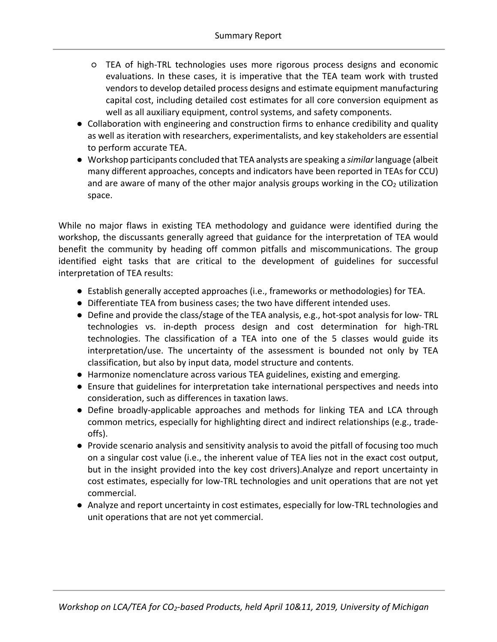- TEA of high-TRL technologies uses more rigorous process designs and economic evaluations. In these cases, it is imperative that the TEA team work with trusted vendors to develop detailed process designs and estimate equipment manufacturing capital cost, including detailed cost estimates for all core conversion equipment as well as all auxiliary equipment, control systems, and safety components.
- Collaboration with engineering and construction firms to enhance credibility and quality as well as iteration with researchers, experimentalists, and key stakeholders are essential to perform accurate TEA.
- Workshop participants concluded that TEA analysts are speaking a *similar* language (albeit many different approaches, concepts and indicators have been reported in TEAs for CCU) and are aware of many of the other major analysis groups working in the  $CO<sub>2</sub>$  utilization space.

While no major flaws in existing TEA methodology and guidance were identified during the workshop, the discussants generally agreed that guidance for the interpretation of TEA would benefit the community by heading off common pitfalls and miscommunications. The group identified eight tasks that are critical to the development of guidelines for successful interpretation of TEA results:

- Establish generally accepted approaches (i.e., frameworks or methodologies) for TEA.
- Differentiate TEA from business cases; the two have different intended uses.
- Define and provide the class/stage of the TEA analysis, e.g., hot-spot analysis for low- TRL technologies vs. in-depth process design and cost determination for high-TRL technologies. The classification of a TEA into one of the 5 classes would guide its interpretation/use. The uncertainty of the assessment is bounded not only by TEA classification, but also by input data, model structure and contents.
- Harmonize nomenclature across various TEA guidelines, existing and emerging.
- Ensure that guidelines for interpretation take international perspectives and needs into consideration, such as differences in taxation laws.
- Define broadly-applicable approaches and methods for linking TEA and LCA through common metrics, especially for highlighting direct and indirect relationships (e.g., tradeoffs).
- Provide scenario analysis and sensitivity analysis to avoid the pitfall of focusing too much on a singular cost value (i.e., the inherent value of TEA lies not in the exact cost output, but in the insight provided into the key cost drivers).Analyze and report uncertainty in cost estimates, especially for low-TRL technologies and unit operations that are not yet commercial.
- Analyze and report uncertainty in cost estimates, especially for low-TRL technologies and unit operations that are not yet commercial.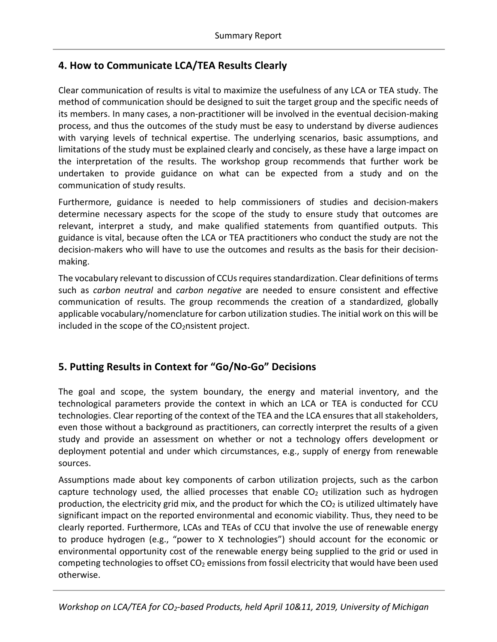## **4. How to Communicate LCA/TEA Results Clearly**

Clear communication of results is vital to maximize the usefulness of any LCA or TEA study. The method of communication should be designed to suit the target group and the specific needs of its members. In many cases, a non-practitioner will be involved in the eventual decision-making process, and thus the outcomes of the study must be easy to understand by diverse audiences with varying levels of technical expertise. The underlying scenarios, basic assumptions, and limitations of the study must be explained clearly and concisely, as these have a large impact on the interpretation of the results. The workshop group recommends that further work be undertaken to provide guidance on what can be expected from a study and on the communication of study results.

Furthermore, guidance is needed to help commissioners of studies and decision-makers determine necessary aspects for the scope of the study to ensure study that outcomes are relevant, interpret a study, and make qualified statements from quantified outputs. This guidance is vital, because often the LCA or TEA practitioners who conduct the study are not the decision-makers who will have to use the outcomes and results as the basis for their decisionmaking.

The vocabulary relevant to discussion of CCUs requires standardization. Clear definitions of terms such as *carbon neutral* and *carbon negative* are needed to ensure consistent and effective communication of results. The group recommends the creation of a standardized, globally applicable vocabulary/nomenclature for carbon utilization studies. The initial work on this will be included in the scope of the CO<sub>2</sub>nsistent project.

# **5. Putting Results in Context for "Go/No-Go" Decisions**

The goal and scope, the system boundary, the energy and material inventory, and the technological parameters provide the context in which an LCA or TEA is conducted for CCU technologies. Clear reporting of the context of the TEA and the LCA ensures that all stakeholders, even those without a background as practitioners, can correctly interpret the results of a given study and provide an assessment on whether or not a technology offers development or deployment potential and under which circumstances, e.g., supply of energy from renewable sources.

Assumptions made about key components of carbon utilization projects, such as the carbon capture technology used, the allied processes that enable  $CO<sub>2</sub>$  utilization such as hydrogen production, the electricity grid mix, and the product for which the  $CO<sub>2</sub>$  is utilized ultimately have significant impact on the reported environmental and economic viability. Thus, they need to be clearly reported. Furthermore, LCAs and TEAs of CCU that involve the use of renewable energy to produce hydrogen (e.g., "power to X technologies") should account for the economic or environmental opportunity cost of the renewable energy being supplied to the grid or used in competing technologies to offset  $CO<sub>2</sub>$  emissions from fossil electricity that would have been used otherwise.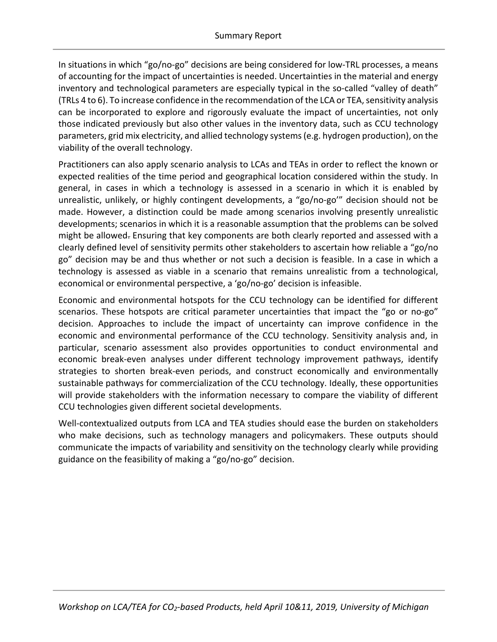In situations in which "go/no-go" decisions are being considered for low-TRL processes, a means of accounting for the impact of uncertainties is needed. Uncertainties in the material and energy inventory and technological parameters are especially typical in the so-called "valley of death" (TRLs 4 to 6). To increase confidence in the recommendation of the LCA or TEA, sensitivity analysis can be incorporated to explore and rigorously evaluate the impact of uncertainties, not only those indicated previously but also other values in the inventory data, such as CCU technology parameters, grid mix electricity, and allied technology systems (e.g. hydrogen production), on the viability of the overall technology.

Practitioners can also apply scenario analysis to LCAs and TEAs in order to reflect the known or expected realities of the time period and geographical location considered within the study. In general, in cases in which a technology is assessed in a scenario in which it is enabled by unrealistic, unlikely, or highly contingent developments, a "go/no-go'" decision should not be made. However, a distinction could be made among scenarios involving presently unrealistic developments; scenarios in which it is a reasonable assumption that the problems can be solved might be allowed. Ensuring that key components are both clearly reported and assessed with a clearly defined level of sensitivity permits other stakeholders to ascertain how reliable a "go/no go" decision may be and thus whether or not such a decision is feasible. In a case in which a technology is assessed as viable in a scenario that remains unrealistic from a technological, economical or environmental perspective, a 'go/no-go' decision is infeasible.

Economic and environmental hotspots for the CCU technology can be identified for different scenarios. These hotspots are critical parameter uncertainties that impact the "go or no-go" decision. Approaches to include the impact of uncertainty can improve confidence in the economic and environmental performance of the CCU technology. Sensitivity analysis and, in particular, scenario assessment also provides opportunities to conduct environmental and economic break-even analyses under different technology improvement pathways, identify strategies to shorten break-even periods, and construct economically and environmentally sustainable pathways for commercialization of the CCU technology. Ideally, these opportunities will provide stakeholders with the information necessary to compare the viability of different CCU technologies given different societal developments.

Well-contextualized outputs from LCA and TEA studies should ease the burden on stakeholders who make decisions, such as technology managers and policymakers. These outputs should communicate the impacts of variability and sensitivity on the technology clearly while providing guidance on the feasibility of making a "go/no-go" decision.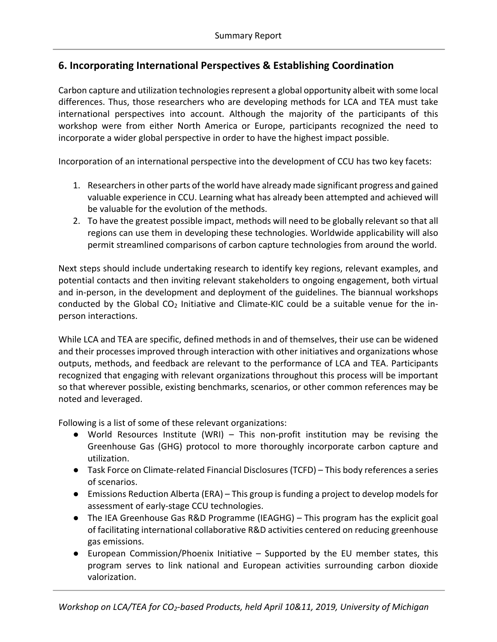# **6. Incorporating International Perspectives & Establishing Coordination**

Carbon capture and utilization technologies represent a global opportunity albeit with some local differences. Thus, those researchers who are developing methods for LCA and TEA must take international perspectives into account. Although the majority of the participants of this workshop were from either North America or Europe, participants recognized the need to incorporate a wider global perspective in order to have the highest impact possible.

Incorporation of an international perspective into the development of CCU has two key facets:

- 1. Researchers in other parts of the world have already made significant progress and gained valuable experience in CCU. Learning what has already been attempted and achieved will be valuable for the evolution of the methods.
- 2. To have the greatest possible impact, methods will need to be globally relevant so that all regions can use them in developing these technologies. Worldwide applicability will also permit streamlined comparisons of carbon capture technologies from around the world.

Next steps should include undertaking research to identify key regions, relevant examples, and potential contacts and then inviting relevant stakeholders to ongoing engagement, both virtual and in-person, in the development and deployment of the guidelines. The biannual workshops conducted by the Global  $CO<sub>2</sub>$  Initiative and Climate-KIC could be a suitable venue for the inperson interactions.

While LCA and TEA are specific, defined methods in and of themselves, their use can be widened and their processes improved through interaction with other initiatives and organizations whose outputs, methods, and feedback are relevant to the performance of LCA and TEA. Participants recognized that engaging with relevant organizations throughout this process will be important so that wherever possible, existing benchmarks, scenarios, or other common references may be noted and leveraged.

Following is a list of some of these relevant organizations:

- World Resources Institute (WRI) This non-profit institution may be revising the Greenhouse Gas (GHG) protocol to more thoroughly incorporate carbon capture and utilization.
- Task Force on Climate-related Financial Disclosures (TCFD) This body references a series of scenarios.
- Emissions Reduction Alberta (ERA) This group is funding a project to develop models for assessment of early-stage CCU technologies.
- The IEA Greenhouse Gas R&D Programme (IEAGHG) This program has the explicit goal of facilitating international collaborative R&D activities centered on reducing greenhouse gas emissions.
- European Commission/Phoenix Initiative Supported by the EU member states, this program serves to link national and European activities surrounding carbon dioxide valorization.